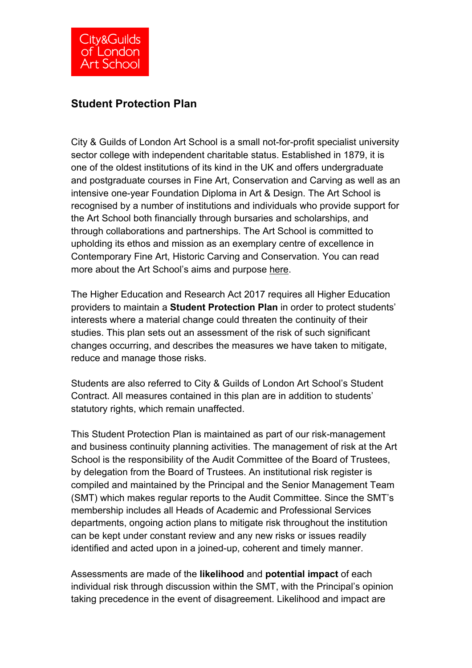# **Student Protection Plan**

City & Guilds of London Art School is a small not-for-profit specialist university sector college with independent charitable status. Established in 1879, it is one of the oldest institutions of its kind in the UK and offers undergraduate and postgraduate courses in Fine Art, Conservation and Carving as well as an intensive one-year Foundation Diploma in Art & Design. The Art School is recognised by a number of institutions and individuals who provide support for the Art School both financially through bursaries and scholarships, and through collaborations and partnerships. The Art School is committed to upholding its ethos and mission as an exemplary centre of excellence in Contemporary Fine Art, Historic Carving and Conservation. You can read more about the Art School's aims and purpose here.

The Higher Education and Research Act 2017 requires all Higher Education providers to maintain a **Student Protection Plan** in order to protect students' interests where a material change could threaten the continuity of their studies. This plan sets out an assessment of the risk of such significant changes occurring, and describes the measures we have taken to mitigate, reduce and manage those risks.

Students are also referred to City & Guilds of London Art School's Student Contract. All measures contained in this plan are in addition to students' statutory rights, which remain unaffected.

This Student Protection Plan is maintained as part of our risk-management and business continuity planning activities. The management of risk at the Art School is the responsibility of the Audit Committee of the Board of Trustees, by delegation from the Board of Trustees. An institutional risk register is compiled and maintained by the Principal and the Senior Management Team (SMT) which makes regular reports to the Audit Committee. Since the SMT's membership includes all Heads of Academic and Professional Services departments, ongoing action plans to mitigate risk throughout the institution can be kept under constant review and any new risks or issues readily identified and acted upon in a joined-up, coherent and timely manner.

Assessments are made of the **likelihood** and **potential impact** of each individual risk through discussion within the SMT, with the Principal's opinion taking precedence in the event of disagreement. Likelihood and impact are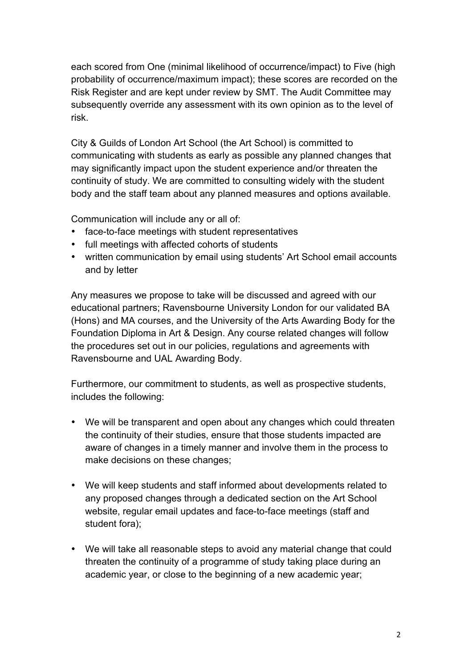each scored from One (minimal likelihood of occurrence/impact) to Five (high probability of occurrence/maximum impact); these scores are recorded on the Risk Register and are kept under review by SMT. The Audit Committee may subsequently override any assessment with its own opinion as to the level of risk.

City & Guilds of London Art School (the Art School) is committed to communicating with students as early as possible any planned changes that may significantly impact upon the student experience and/or threaten the continuity of study. We are committed to consulting widely with the student body and the staff team about any planned measures and options available.

Communication will include any or all of:

- face-to-face meetings with student representatives
- full meetings with affected cohorts of students
- written communication by email using students' Art School email accounts and by letter

Any measures we propose to take will be discussed and agreed with our educational partners; Ravensbourne University London for our validated BA (Hons) and MA courses, and the University of the Arts Awarding Body for the Foundation Diploma in Art & Design. Any course related changes will follow the procedures set out in our policies, regulations and agreements with Ravensbourne and UAL Awarding Body.

Furthermore, our commitment to students, as well as prospective students, includes the following:

- We will be transparent and open about any changes which could threaten the continuity of their studies, ensure that those students impacted are aware of changes in a timely manner and involve them in the process to make decisions on these changes;
- We will keep students and staff informed about developments related to any proposed changes through a dedicated section on the Art School website, regular email updates and face-to-face meetings (staff and student fora);
- We will take all reasonable steps to avoid any material change that could threaten the continuity of a programme of study taking place during an academic year, or close to the beginning of a new academic year;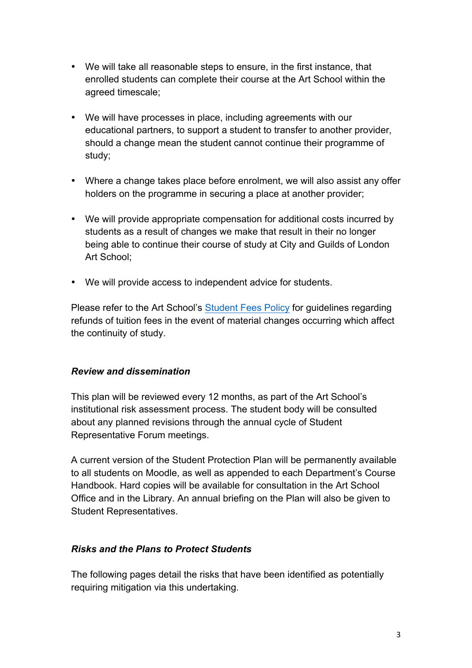- We will take all reasonable steps to ensure, in the first instance, that enrolled students can complete their course at the Art School within the agreed timescale;
- We will have processes in place, including agreements with our educational partners, to support a student to transfer to another provider, should a change mean the student cannot continue their programme of study;
- Where a change takes place before enrolment, we will also assist any offer holders on the programme in securing a place at another provider;
- We will provide appropriate compensation for additional costs incurred by students as a result of changes we make that result in their no longer being able to continue their course of study at City and Guilds of London Art School;
- We will provide access to independent advice for students.

Please refer to the Art School's Student Fees Policy for guidelines regarding refunds of tuition fees in the event of material changes occurring which affect the continuity of study.

## *Review and dissemination*

This plan will be reviewed every 12 months, as part of the Art School's institutional risk assessment process. The student body will be consulted about any planned revisions through the annual cycle of Student Representative Forum meetings.

A current version of the Student Protection Plan will be permanently available to all students on Moodle, as well as appended to each Department's Course Handbook. Hard copies will be available for consultation in the Art School Office and in the Library. An annual briefing on the Plan will also be given to Student Representatives.

## *Risks and the Plans to Protect Students*

The following pages detail the risks that have been identified as potentially requiring mitigation via this undertaking.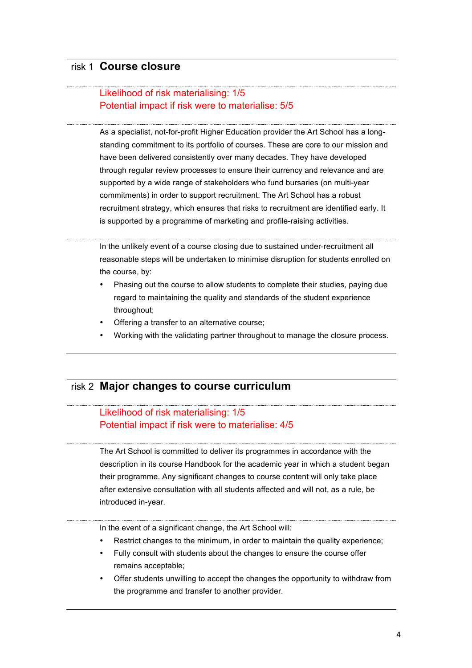## risk 1 **Course closure**

### Likelihood of risk materialising: 1/5 Potential impact if risk were to materialise: 5/5

As a specialist, not-for-profit Higher Education provider the Art School has a longstanding commitment to its portfolio of courses. These are core to our mission and have been delivered consistently over many decades. They have developed through regular review processes to ensure their currency and relevance and are supported by a wide range of stakeholders who fund bursaries (on multi-year commitments) in order to support recruitment. The Art School has a robust recruitment strategy, which ensures that risks to recruitment are identified early. It is supported by a programme of marketing and profile-raising activities.

In the unlikely event of a course closing due to sustained under-recruitment all reasonable steps will be undertaken to minimise disruption for students enrolled on the course, by:

- Phasing out the course to allow students to complete their studies, paying due regard to maintaining the quality and standards of the student experience throughout;
- Offering a transfer to an alternative course;
- Working with the validating partner throughout to manage the closure process.

## risk 2 **Major changes to course curriculum**

### Likelihood of risk materialising: 1/5 Potential impact if risk were to materialise: 4/5

The Art School is committed to deliver its programmes in accordance with the description in its course Handbook for the academic year in which a student began their programme. Any significant changes to course content will only take place after extensive consultation with all students affected and will not, as a rule, be introduced in-year.

In the event of a significant change, the Art School will:

- Restrict changes to the minimum, in order to maintain the quality experience;
- Fully consult with students about the changes to ensure the course offer remains acceptable;
- Offer students unwilling to accept the changes the opportunity to withdraw from the programme and transfer to another provider.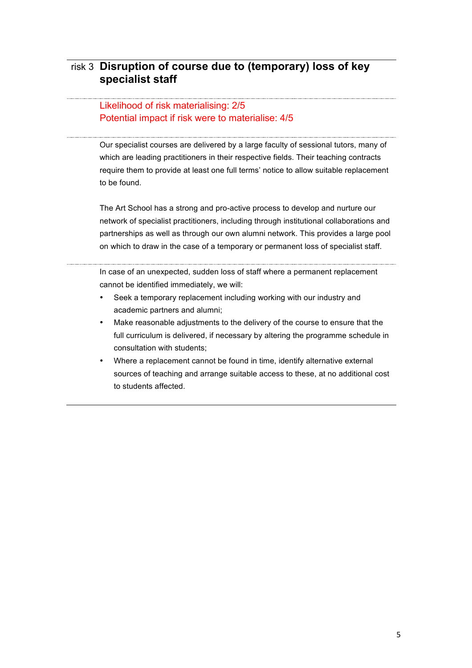# risk 3 **Disruption of course due to (temporary) loss of key specialist staff**

#### Likelihood of risk materialising: 2/5 Potential impact if risk were to materialise: 4/5

Our specialist courses are delivered by a large faculty of sessional tutors, many of which are leading practitioners in their respective fields. Their teaching contracts require them to provide at least one full terms' notice to allow suitable replacement to be found.

The Art School has a strong and pro-active process to develop and nurture our network of specialist practitioners, including through institutional collaborations and partnerships as well as through our own alumni network. This provides a large pool on which to draw in the case of a temporary or permanent loss of specialist staff.

In case of an unexpected, sudden loss of staff where a permanent replacement cannot be identified immediately, we will:

- Seek a temporary replacement including working with our industry and academic partners and alumni;
- Make reasonable adjustments to the delivery of the course to ensure that the full curriculum is delivered, if necessary by altering the programme schedule in consultation with students;
- Where a replacement cannot be found in time, identify alternative external sources of teaching and arrange suitable access to these, at no additional cost to students affected.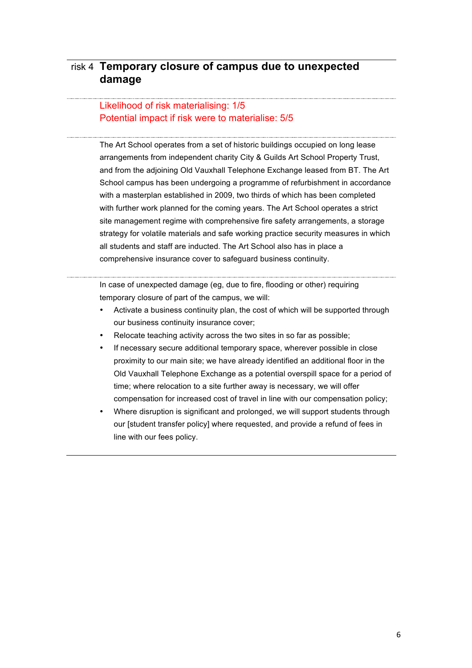# risk 4 **Temporary closure of campus due to unexpected damage**

### Likelihood of risk materialising: 1/5 Potential impact if risk were to materialise: 5/5

The Art School operates from a set of historic buildings occupied on long lease arrangements from independent charity City & Guilds Art School Property Trust, and from the adjoining Old Vauxhall Telephone Exchange leased from BT. The Art School campus has been undergoing a programme of refurbishment in accordance with a masterplan established in 2009, two thirds of which has been completed with further work planned for the coming years. The Art School operates a strict site management regime with comprehensive fire safety arrangements, a storage strategy for volatile materials and safe working practice security measures in which all students and staff are inducted. The Art School also has in place a comprehensive insurance cover to safeguard business continuity.

In case of unexpected damage (eg, due to fire, flooding or other) requiring temporary closure of part of the campus, we will:

- Activate a business continuity plan, the cost of which will be supported through our business continuity insurance cover;
- Relocate teaching activity across the two sites in so far as possible;
- If necessary secure additional temporary space, wherever possible in close proximity to our main site; we have already identified an additional floor in the Old Vauxhall Telephone Exchange as a potential overspill space for a period of time; where relocation to a site further away is necessary, we will offer compensation for increased cost of travel in line with our compensation policy;
- Where disruption is significant and prolonged, we will support students through our [student transfer policy] where requested, and provide a refund of fees in line with our fees policy.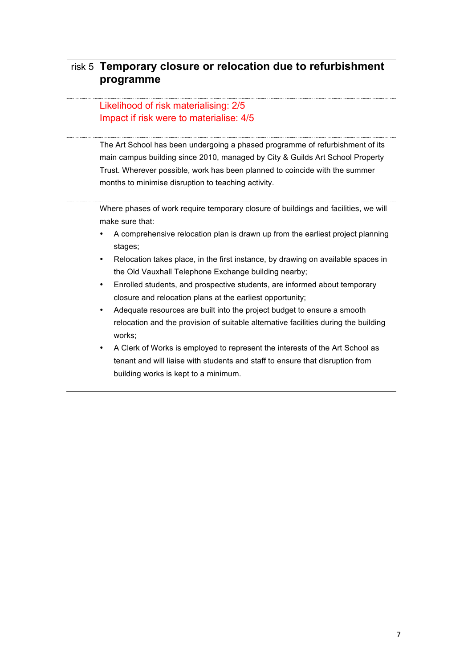# risk 5 **Temporary closure or relocation due to refurbishment programme**

### Likelihood of risk materialising: 2/5 Impact if risk were to materialise: 4/5

The Art School has been undergoing a phased programme of refurbishment of its main campus building since 2010, managed by City & Guilds Art School Property Trust. Wherever possible, work has been planned to coincide with the summer months to minimise disruption to teaching activity.

Where phases of work require temporary closure of buildings and facilities, we will make sure that:

- A comprehensive relocation plan is drawn up from the earliest project planning stages;
- Relocation takes place, in the first instance, by drawing on available spaces in the Old Vauxhall Telephone Exchange building nearby;
- Enrolled students, and prospective students, are informed about temporary closure and relocation plans at the earliest opportunity;
- Adequate resources are built into the project budget to ensure a smooth relocation and the provision of suitable alternative facilities during the building works;
- A Clerk of Works is employed to represent the interests of the Art School as tenant and will liaise with students and staff to ensure that disruption from building works is kept to a minimum.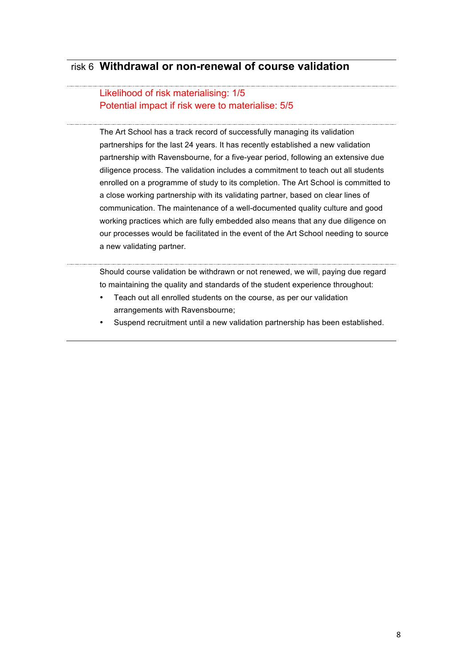## risk 6 **Withdrawal or non-renewal of course validation**

#### Likelihood of risk materialising: 1/5 Potential impact if risk were to materialise: 5/5

The Art School has a track record of successfully managing its validation partnerships for the last 24 years. It has recently established a new validation partnership with Ravensbourne, for a five-year period, following an extensive due diligence process. The validation includes a commitment to teach out all students enrolled on a programme of study to its completion. The Art School is committed to a close working partnership with its validating partner, based on clear lines of communication. The maintenance of a well-documented quality culture and good working practices which are fully embedded also means that any due diligence on our processes would be facilitated in the event of the Art School needing to source a new validating partner.

#### $\frac{1}{2}$ Should course validation be withdrawn or not renewed, we will, paying due regard to maintaining the quality and standards of the student experience throughout:

- Teach out all enrolled students on the course, as per our validation arrangements with Ravensbourne;
- Suspend recruitment until a new validation partnership has been established.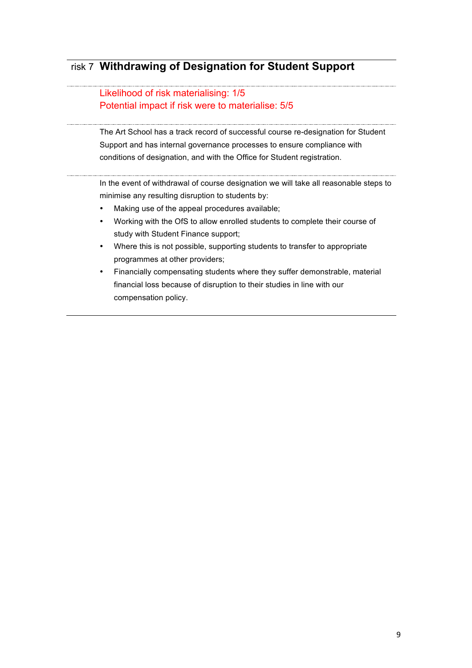# risk 7 **Withdrawing of Designation for Student Support**

#### Likelihood of risk materialising: 1/5 Potential impact if risk were to materialise: 5/5

The Art School has a track record of successful course re-designation for Student Support and has internal governance processes to ensure compliance with conditions of designation, and with the Office for Student registration.

In the event of withdrawal of course designation we will take all reasonable steps to minimise any resulting disruption to students by:

- Making use of the appeal procedures available;
- Working with the OfS to allow enrolled students to complete their course of study with Student Finance support;
- Where this is not possible, supporting students to transfer to appropriate programmes at other providers;
- Financially compensating students where they suffer demonstrable, material financial loss because of disruption to their studies in line with our compensation policy.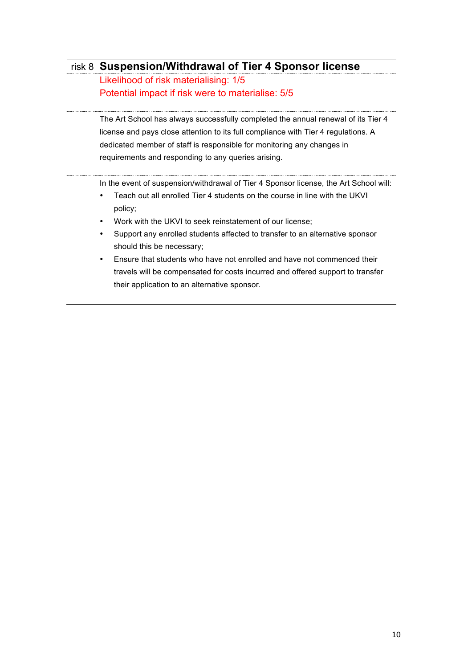# risk 8 **Suspension/Withdrawal of Tier 4 Sponsor license**

Likelihood of risk materialising: 1/5 Potential impact if risk were to materialise: 5/5

The Art School has always successfully completed the annual renewal of its Tier 4 license and pays close attention to its full compliance with Tier 4 regulations. A dedicated member of staff is responsible for monitoring any changes in requirements and responding to any queries arising.

In the event of suspension/withdrawal of Tier 4 Sponsor license, the Art School will:

- Teach out all enrolled Tier 4 students on the course in line with the UKVI policy;
- Work with the UKVI to seek reinstatement of our license;
- Support any enrolled students affected to transfer to an alternative sponsor should this be necessary;
- Ensure that students who have not enrolled and have not commenced their travels will be compensated for costs incurred and offered support to transfer their application to an alternative sponsor.